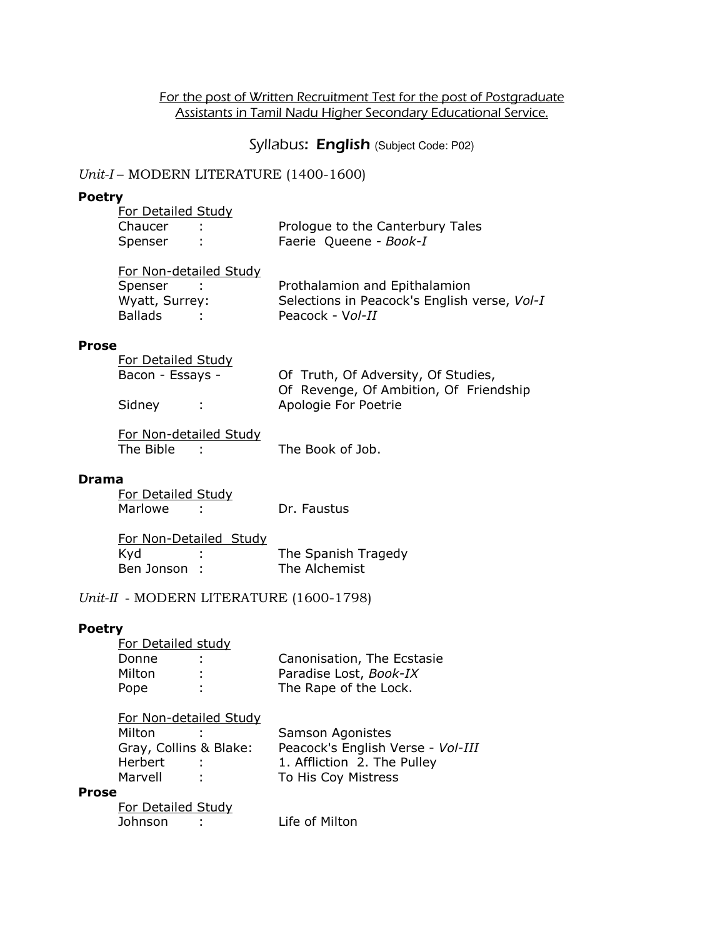## For the post of Written Recruitment Test for the post of Postgraduate Assistants in Tamil Nadu Higher Secondary Educational Service.

## Syllabus: English (Subject Code: P02)

## Unit-I – MODERN LITERATURE (1400-1600)

#### Poetry

| <b>For Detailed Study</b> |                                  |
|---------------------------|----------------------------------|
| Chaucer                   | Prologue to the Canterbury Tales |
| Spenser                   | Faerie Queene - Book-I           |

| For Non-detailed Study |                                              |  |
|------------------------|----------------------------------------------|--|
| Spenser                | Prothalamion and Epithalamion                |  |
| Wyatt, Surrey:         | Selections in Peacock's English verse, Vol-1 |  |
| <b>Ballads</b>         | Peacock - Vol-II                             |  |

#### Prose

| For Detailed Study |                                        |
|--------------------|----------------------------------------|
| Bacon - Essays -   | Of Truth, Of Adversity, Of Studies,    |
|                    | Of Revenge, Of Ambition, Of Friendship |
| Sidney             | Apologie For Poetrie                   |

| For Non-detailed Study |                  |
|------------------------|------------------|
| The Bible              | The Book of Job. |

## Drama

| For Detailed Study |             |
|--------------------|-------------|
| Marlowe            | Dr. Faustus |

| For Non-Detailed Study |  |                     |
|------------------------|--|---------------------|
| Kyd                    |  | The Spanish Tragedy |
| Ben Jonson:            |  | The Alchemist       |

### Unit-II - MODERN LITERATURE (1600-1798)

#### Poetry

| Canonisation, The Ecstasie |
|----------------------------|
| Paradise Lost, Book-IX     |
| The Rape of the Lock.      |
|                            |

| For Non-detailed Study |            |                                   |
|------------------------|------------|-----------------------------------|
| Milton                 |            | Samson Agonistes                  |
| Gray, Collins & Blake: |            | Peacock's English Verse - Vol-III |
| Herbert                | $\sim 100$ | 1. Affliction 2. The Pulley       |
| Marvell                | <b>T</b>   | To His Coy Mistress               |
|                        |            |                                   |

#### Prose

| For Detailed Study |                |
|--------------------|----------------|
| Johnson            | Life of Milton |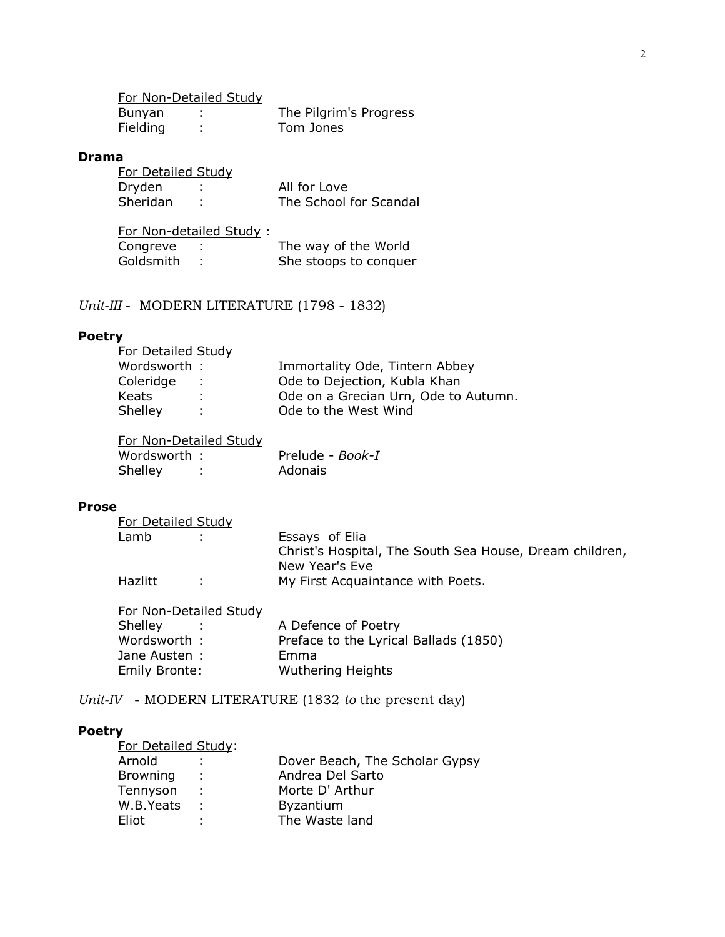For Non-Detailed Study

| <b>Bunyan</b> | The Pilgrim's Progress |
|---------------|------------------------|
| Fielding      | Tom Jones              |

#### Drama

| For Detailed Study |                        |
|--------------------|------------------------|
| Dryden             | All for Love           |
| Sheridan           | The School for Scandal |

| Congreve : | The way of the World    |
|------------|-------------------------|
| - 11       | She stoops to conquer   |
|            | For Non-detailed Study: |

Unit-III - MODERN LITERATURE (1798 - 1832)

#### Poetry

| <b>For Detailed Study</b> |            |                                      |
|---------------------------|------------|--------------------------------------|
| Wordsworth :              |            | Immortality Ode, Tintern Abbey       |
| Coleridge                 | $\sim 100$ | Ode to Dejection, Kubla Khan         |
| Keats                     | ÷.         | Ode on a Grecian Urn, Ode to Autumn. |
| Shelley                   | ÷.         | Ode to the West Wind                 |
|                           |            |                                      |

|              | For Non-Detailed Study |                  |  |
|--------------|------------------------|------------------|--|
| Wordsworth : |                        | Prelude - Book-I |  |
| Shelley      |                        | Adonais          |  |

#### Prose

| For Detailed Study |    |                                                                           |
|--------------------|----|---------------------------------------------------------------------------|
| Lamb               |    | Essays of Elia                                                            |
|                    |    | Christ's Hospital, The South Sea House, Dream children,<br>New Year's Eve |
| Hazlitt            | ÷. | My First Acquaintance with Poets.                                         |
|                    |    |                                                                           |

| For Non-Detailed Study |                                       |
|------------------------|---------------------------------------|
| Shelley                | A Defence of Poetry                   |
| Wordsworth :           | Preface to the Lyrical Ballads (1850) |
| Jane Austen:           | Emma                                  |
| Emily Bronte:          | <b>Wuthering Heights</b>              |

Unit-IV - MODERN LITERATURE (1832 to the present day)

#### Poetry

| <b>For Detailed Study:</b> |               |                                |
|----------------------------|---------------|--------------------------------|
| Arnold                     | ÷.            | Dover Beach, The Scholar Gypsy |
| <b>Browning</b>            | ÷.            | Andrea Del Sarto               |
| Tennyson                   | $\mathcal{L}$ | Morte D' Arthur                |
| W.B.Yeats                  | $\mathcal{L}$ | <b>Byzantium</b>               |
| Eliot                      | ÷             | The Waste land                 |
|                            |               |                                |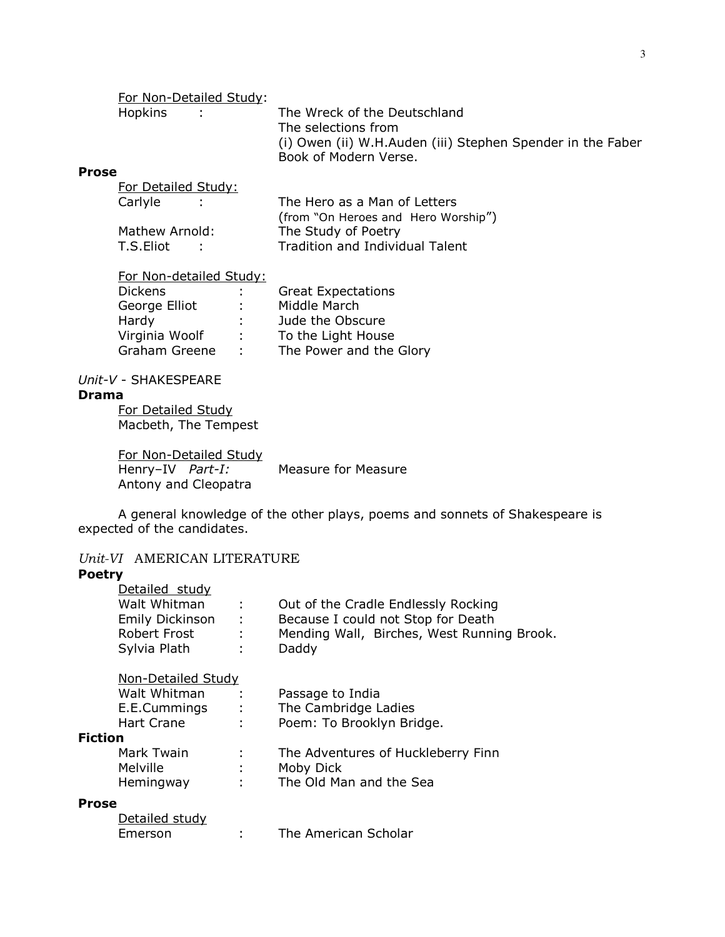|                          |                | For Non-Detailed Study: |                                                                                                                                            |
|--------------------------|----------------|-------------------------|--------------------------------------------------------------------------------------------------------------------------------------------|
|                          | <b>Hopkins</b> |                         | The Wreck of the Deutschland<br>The selections from<br>(i) Owen (ii) W.H.Auden (iii) Stephen Spender in the Faber<br>Book of Modern Verse. |
| $\overline{\phantom{a}}$ |                |                         |                                                                                                                                            |

#### Prose For Detailed Study:

| TUL DUCURU JUUY. |                                     |
|------------------|-------------------------------------|
| Carlyle          | The Hero as a Man of Letters        |
|                  | (from "On Heroes and Hero Worship") |
| Mathew Arnold:   | The Study of Poetry                 |
| T.S.Eliot<br>÷.  | Tradition and Individual Talent     |
|                  |                                     |

| For Non-detailed Study: |                |                           |
|-------------------------|----------------|---------------------------|
| <b>Dickens</b>          | ÷.             | <b>Great Expectations</b> |
| George Elliot           | $\mathbb{R}^n$ | Middle March              |
| Hardy                   | t.             | Jude the Obscure          |
| Virginia Woolf          | ÷              | To the Light House        |
| Graham Greene           | ÷              | The Power and the Glory   |

## Unit-V - SHAKESPEARE

#### Drama

For Detailed Study Macbeth, The Tempest

For Non-Detailed Study<br>Henry-IV Part-I: Measure for Measure Antony and Cleopatra

 A general knowledge of the other plays, poems and sonnets of Shakespeare is expected of the candidates.

## Unit-VI AMERICAN LITERATURE

## Poetry

|                | Detailed study          |               |                                            |
|----------------|-------------------------|---------------|--------------------------------------------|
|                | Walt Whitman            | ÷             | Out of the Cradle Endlessly Rocking        |
|                | Emily Dickinson<br>- 10 |               | Because I could not Stop for Death         |
|                | <b>Robert Frost</b>     | $\mathcal{L}$ | Mending Wall, Birches, West Running Brook. |
|                | Sylvia Plath            | ÷             | Daddy                                      |
|                | Non-Detailed Study      |               |                                            |
|                | Walt Whitman            | ÷             | Passage to India                           |
|                | E.E.Cummings            | $\sim 1000$   | The Cambridge Ladies                       |
|                | Hart Crane              | ÷             | Poem: To Brooklyn Bridge.                  |
| <b>Fiction</b> |                         |               |                                            |
|                | Mark Twain              |               | The Adventures of Huckleberry Finn         |
|                | <b>Melville</b>         | ÷.            | Moby Dick                                  |
|                | Hemingway<br>$\sim$ 1.  |               | The Old Man and the Sea                    |
| <b>Prose</b>   |                         |               |                                            |
|                | Detailed study          |               |                                            |

## Emerson : The American Scholar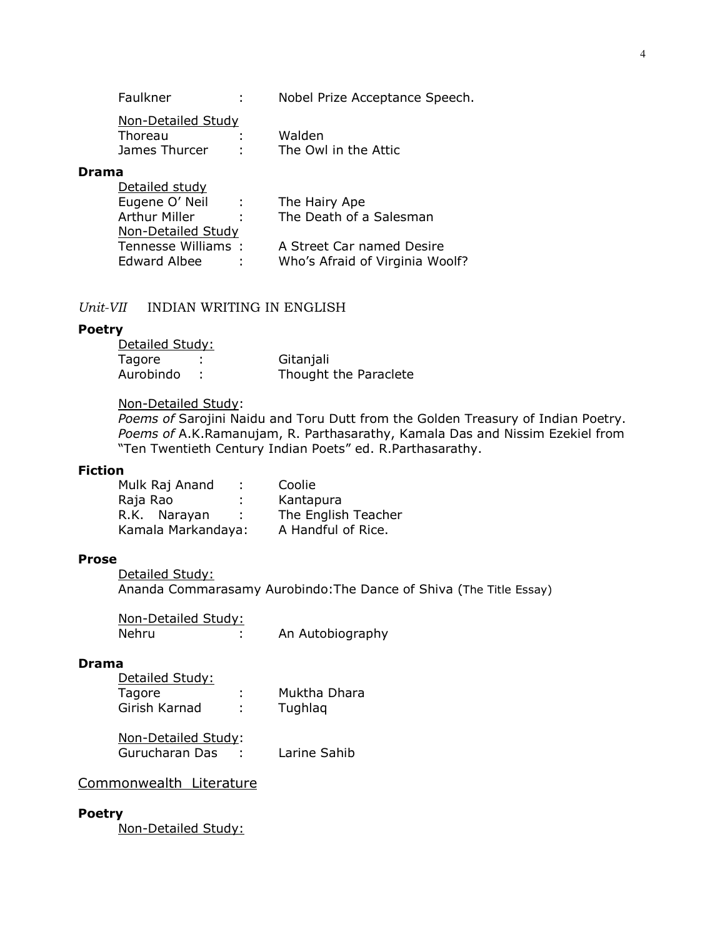| Faulkner |  | Nobel Prize Acceptance Speech. |
|----------|--|--------------------------------|
|----------|--|--------------------------------|

| Non-Detailed Study |                      |
|--------------------|----------------------|
| Thoreau            | Walden               |
| James Thurcer      | The Owl in the Attic |

#### Drama

| Detailed study       |             |                                 |
|----------------------|-------------|---------------------------------|
| Eugene O' Neil       | $\sim 1000$ | The Hairy Ape                   |
| <b>Arthur Miller</b> |             | The Death of a Salesman         |
| Non-Detailed Study   |             |                                 |
| Tennesse Williams:   |             | A Street Car named Desire       |
| Edward Albee         |             | Who's Afraid of Virginia Woolf? |

## Unit-VII INDIAN WRITING IN ENGLISH

#### Poetry

| Gitanjali             |
|-----------------------|
| Thought the Paraclete |
|                       |

#### Non-Detailed Study:

Poems of Sarojini Naidu and Toru Dutt from the Golden Treasury of Indian Poetry. Poems of A.K.Ramanujam, R. Parthasarathy, Kamala Das and Nissim Ezekiel from "Ten Twentieth Century Indian Poets" ed. R.Parthasarathy.

## Fiction

| Mulk Raj Anand     |   | Coolie              |
|--------------------|---|---------------------|
| Raja Rao           | ÷ | Kantapura           |
| R.K. Narayan       |   | The English Teacher |
| Kamala Markandaya: |   | A Handful of Rice.  |

#### Prose

Detailed Study: Ananda Commarasamy Aurobindo:The Dance of Shiva (The Title Essay)

| Non-Detailed Study: |                  |
|---------------------|------------------|
| Nehru               | An Autobiography |

## Drama

| Detailed Study:     |    |              |
|---------------------|----|--------------|
| Tagore              |    | Muktha Dhara |
| Girish Karnad       | ÷. | Tughlag      |
| Non-Detailed Study: |    |              |

| Gurucharan Das | Larine Sahib |
|----------------|--------------|
|                |              |

# Commonwealth Literature

### Poetry

Non-Detailed Study: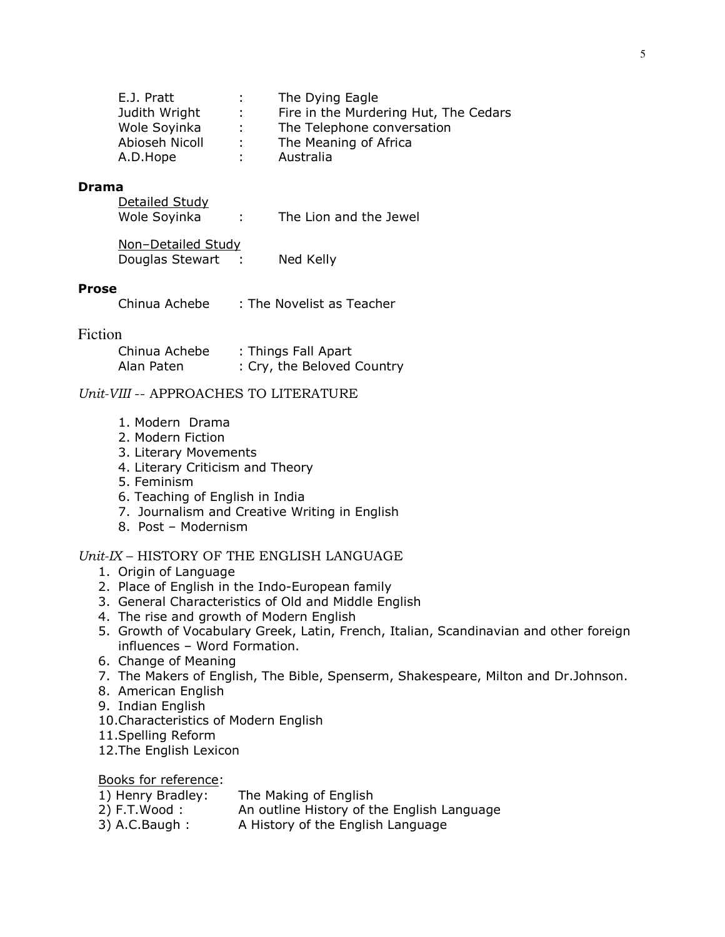| E.J. Pratt     | di se         | The Dying Eagle                       |
|----------------|---------------|---------------------------------------|
| Judith Wright  | $\mathcal{L}$ | Fire in the Murdering Hut, The Cedars |
| Wole Soyinka   | -11           | The Telephone conversation            |
| Abioseh Nicoll | $\mathcal{L}$ | The Meaning of Africa                 |
| A.D.Hope       |               | Australia                             |

#### Drama

| Detailed Study |                        |
|----------------|------------------------|
| Wole Soyinka   | The Lion and the Jewel |

| Non-Detailed Study |           |
|--------------------|-----------|
| Douglas Stewart    | Ned Kelly |

#### Prose

| Chinua Achebe<br>: The Novelist as Teacher |
|--------------------------------------------|
|--------------------------------------------|

## Fiction

| Chinua Achebe | : Things Fall Apart        |
|---------------|----------------------------|
| Alan Paten    | : Cry, the Beloved Country |

## Unit-VIII -- APPROACHES TO LITERATURE

- 1. Modern Drama
- 2. Modern Fiction
- 3. Literary Movements
- 4. Literary Criticism and Theory
- 5. Feminism
- 6. Teaching of English in India
- 7. Journalism and Creative Writing in English
- 8. Post Modernism

## Unit-IX – HISTORY OF THE ENGLISH LANGUAGE

- 1. Origin of Language
- 2. Place of English in the Indo-European family
- 3. General Characteristics of Old and Middle English
- 4. The rise and growth of Modern English
- 5. Growth of Vocabulary Greek, Latin, French, Italian, Scandinavian and other foreign influences – Word Formation.
- 6. Change of Meaning
- 7. The Makers of English, The Bible, Spenserm, Shakespeare, Milton and Dr.Johnson.
- 8. American English
- 9. Indian English
- 10.Characteristics of Modern English
- 11.Spelling Reform
- 12.The English Lexicon

Books for reference:

| 1) Henry Bradley: | The Making of English                      |
|-------------------|--------------------------------------------|
| $2)$ F.T.Wood :   | An outline History of the English Language |
| $3)$ A.C. Baugh:  | A History of the English Language          |